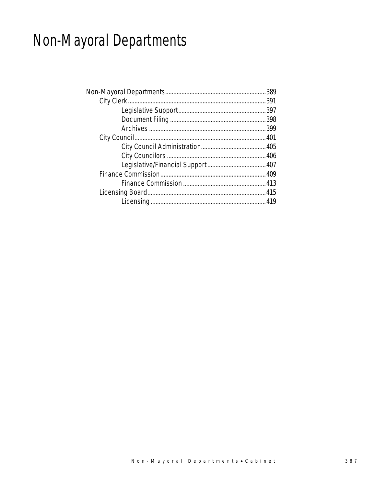# Non-Mayoral Departments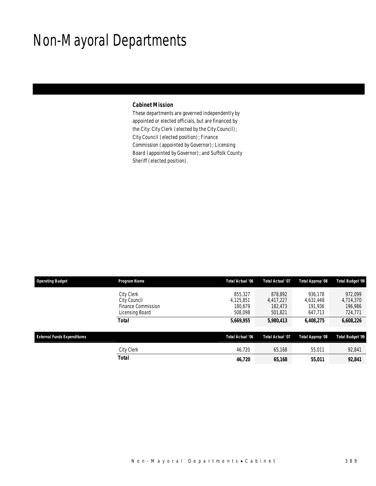## Non-Mayoral Departments

### *Cabinet Mission*

These departments are governed independently by appointed or elected officials, but are financed by the City: City Clerk (elected by the City Council); City Council (elected position); Finance Commission (appointed by Governor); Licensing Board (appointed by Governor); and Suffolk County Sheriff (elected position).

| <b>Operating Budget</b>            | Program Name                                                                      | Total Actual '06                           | Total Actual '07                           | Total Approp '08                           | <b>Total Budget '09</b>                    |
|------------------------------------|-----------------------------------------------------------------------------------|--------------------------------------------|--------------------------------------------|--------------------------------------------|--------------------------------------------|
|                                    | <b>City Clerk</b><br>City Council<br><b>Finance Commission</b><br>Licensing Board | 855,327<br>4,125,851<br>180.679<br>508,098 | 878,892<br>4,417,227<br>182,473<br>501,821 | 936.178<br>4,632,448<br>191.936<br>647,713 | 972,099<br>4,714,370<br>196,986<br>724,771 |
|                                    | <b>Total</b>                                                                      | 5,669,955                                  | 5,980,413                                  | 6,408,275                                  | 6,608,226                                  |
| <b>External Funds Expenditures</b> |                                                                                   | Total Actual '06                           | <b>Total Actual '07</b>                    | Total Approp '08                           | <b>Total Budget '09</b>                    |
|                                    | City Clerk                                                                        | 46,720                                     | 65,168                                     | 55,011                                     | 92,841                                     |
|                                    | <b>Total</b>                                                                      | 46,720                                     | 65,168                                     | 55,011                                     | 92,841                                     |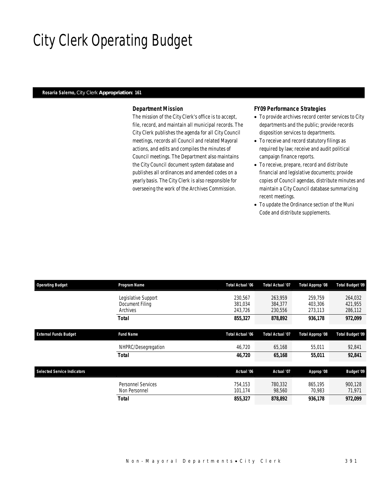## City Clerk Operating Budget

#### *Rosaria Salerno, City Clerk Appropriation: 161*

### *Department Mission*

The mission of the City Clerk's office is to accept, file, record, and maintain all municipal records. The City Clerk publishes the agenda for all City Council meetings, records all Council and related Mayoral actions, and edits and compiles the minutes of Council meetings. The Department also maintains the City Council document system database and publishes all ordinances and amended codes on a yearly basis. The City Clerk is also responsible for overseeing the work of the Archives Commission.

#### *FY09 Performance Strategies*

- To provide archives record center services to City departments and the public; provide records disposition services to departments.
- To receive and record statutory filings as required by law; receive and audit political campaign finance reports.
- To receive, prepare, record and distribute financial and legislative documents; provide copies of Council agendas, distribute minutes and maintain a City Council database summarizing recent meetings.
- To update the Ordinance section of the Muni Code and distribute supplements.

| <b>Operating Budget</b>            | Program Name                                       | Total Actual '06              | <b>Total Actual '07</b>       | Total Approp '08              | <b>Total Budget '09</b>       |
|------------------------------------|----------------------------------------------------|-------------------------------|-------------------------------|-------------------------------|-------------------------------|
|                                    | Legislative Support<br>Document Filing<br>Archives | 230.567<br>381,034<br>243.726 | 263.959<br>384,377<br>230,556 | 259.759<br>403,306<br>273,113 | 264,032<br>421,955<br>286,112 |
|                                    | <b>Total</b>                                       | 855,327                       | 878,892                       | 936.178                       | 972,099                       |
| <b>External Funds Budget</b>       | <b>Fund Name</b>                                   | <b>Total Actual '06</b>       | <b>Total Actual '07</b>       | Total Approp '08              | <b>Total Budget '09</b>       |
|                                    | NHPRC/Desegregation                                | 46,720                        | 65.168                        | 55,011                        | 92,841                        |
|                                    | Total                                              | 46,720                        | 65,168                        | 55,011                        | 92,841                        |
| <b>Selected Service Indicators</b> |                                                    | Actual '06                    | Actual '07                    | Approp '08                    | <b>Budget '09</b>             |
|                                    | <b>Personnel Services</b><br>Non Personnel         | 754.153<br>101,174            | 780.332<br>98,560             | 865,195<br>70,983             | 900,128<br>71,971             |
|                                    | <b>Total</b>                                       | 855,327                       | 878,892                       | 936.178                       | 972,099                       |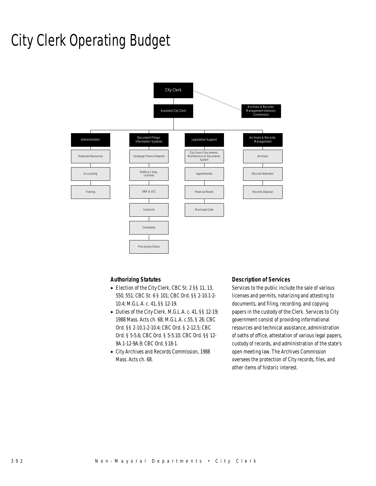## City Clerk Operating Budget



### *Authorizing Statutes*

- Election of the City Clerk, CBC St. 2 §§ 11, 13, 550, 551; CBC St. 6 § 101; CBC Ord. §§ 2-10.1-2- 10.4; M.G.L.A. c. 41, §§ 12-19.
- Duties of the City Clerk, M.G.L.A. c. 41, §§ 12-19; 1988 Mass. Acts ch. 68; M.G.L.A. c.55, § 26; CBC Ord. §§ 2-10.1-2-10.4; CBC Ord. § 2-12.5; CBC Ord. § 5-5.6; CBC Ord. § 5-5.10; CBC Ord. §§ 12- 9A.1-12-9A.9; CBC Ord. §18-1.
- City Archives and Records Commission, 1988 Mass. Acts ch. 68.

### *Description of Services*

Services to the public include the sale of various licenses and permits, notarizing and attesting to documents, and filing, recording, and copying papers in the custody of the Clerk. Services to City government consist of providing informational resources and technical assistance, administration of oaths of office, attestation of various legal papers, custody of records, and administration of the state's open meeting law. The Archives Commission oversees the protection of City records, files, and other items of historic interest.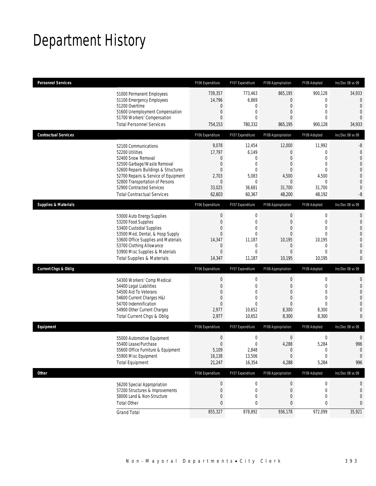# Department History

| <b>Personnel Services</b>       |                                                                                                                                                                                                                                                                                   | FY06 Expenditure                                                                                         | FY07 Expenditure                                                                                                 | FY08 Appropriation                                                                                                      | FY09 Adopted                                                                                                | Inc/Dec 08 vs 09                                                                                                                       |
|---------------------------------|-----------------------------------------------------------------------------------------------------------------------------------------------------------------------------------------------------------------------------------------------------------------------------------|----------------------------------------------------------------------------------------------------------|------------------------------------------------------------------------------------------------------------------|-------------------------------------------------------------------------------------------------------------------------|-------------------------------------------------------------------------------------------------------------|----------------------------------------------------------------------------------------------------------------------------------------|
|                                 | 51000 Permanent Employees<br>51100 Emergency Employees<br>51200 Overtime<br>51600 Unemployment Compensation<br>51700 Workers' Compensation<br><b>Total Personnel Services</b>                                                                                                     | 739,357<br>14,796<br>0<br>$\mathbf 0$<br>$\overline{0}$<br>754,153                                       | 773,463<br>6,869<br>0<br>$\boldsymbol{0}$<br>$\mathbf{0}$<br>780,332                                             | 865,195<br>$\mathbf 0$<br>0<br>$\overline{0}$<br>$\overline{0}$<br>865,195                                              | 900,128<br>$\mathbf{0}$<br>$\mathbf 0$<br>$\mathbf{0}$<br>$\Omega$<br>900,128                               | 34,933<br>$\Omega$<br>$\Omega$<br>$\mathbf{0}$<br>$\Omega$<br>34,933                                                                   |
| <b>Contractual Services</b>     |                                                                                                                                                                                                                                                                                   | FY06 Expenditure                                                                                         | FY07 Expenditure                                                                                                 | FY08 Appropriation                                                                                                      | FY09 Adopted                                                                                                | Inc/Dec 08 vs 09                                                                                                                       |
|                                 | 52100 Communications<br>52200 Utilities<br>52400 Snow Removal<br>52500 Garbage/Waste Removal<br>52600 Repairs Buildings & Structures<br>52700 Repairs & Service of Equipment<br>52800 Transportation of Persons<br>52900 Contracted Services<br><b>Total Contractual Services</b> | 9,078<br>17,797<br>0<br>0<br>$\overline{0}$<br>2,703<br>0<br>33,025<br>62,603                            | 12,454<br>6,149<br>$\mathbf 0$<br>$\mathbf 0$<br>$\mathbf{0}$<br>5,083<br>0<br>36,681<br>60,367                  | 12,000<br>$\mathbf 0$<br>$\overline{0}$<br>$\overline{0}$<br>$\overline{0}$<br>4,500<br>$\mathbf 0$<br>31,700<br>48,200 | 11,992<br>$\mathbf{0}$<br>0<br>$\mathbf{0}$<br>$\theta$<br>4,500<br>$\mathbf{0}$<br>31,700<br>48,192        | -8<br>$\mathbf{0}$<br>$\overline{0}$<br>$\overline{0}$<br>$\overline{0}$<br>$\overline{0}$<br>$\mathbf{0}$<br>$\mathbf{0}$<br>-8       |
| <b>Supplies &amp; Materials</b> |                                                                                                                                                                                                                                                                                   | FY06 Expenditure                                                                                         | FY07 Expenditure                                                                                                 | FY08 Appropriation                                                                                                      | FY09 Adopted                                                                                                | Inc/Dec 08 vs 09                                                                                                                       |
|                                 | 53000 Auto Energy Supplies<br>53200 Food Supplies<br>53400 Custodial Supplies<br>53500 Med, Dental, & Hosp Supply<br>53600 Office Supplies and Materials<br>53700 Clothing Allowance<br>53900 Misc Supplies & Materials<br><b>Total Supplies &amp; Materials</b>                  | $\boldsymbol{0}$<br>$\mathbf 0$<br>$\mathbf 0$<br>$\overline{0}$<br>14,347<br>0<br>$\mathbf 0$<br>14,347 | $\boldsymbol{0}$<br>$\boldsymbol{0}$<br>$\boldsymbol{0}$<br>$\mathbf 0$<br>11,187<br>0<br>$\mathbf{0}$<br>11,187 | $\boldsymbol{0}$<br>$\boldsymbol{0}$<br>0<br>$\mathbf{0}$<br>10,195<br>$\mathbf 0$<br>$\mathbf{0}$<br>10,195            | $\mathbf 0$<br>$\mathbf{0}$<br>$\mathbf{0}$<br>$\theta$<br>10,195<br>$\mathbf{0}$<br>$\mathbf{0}$<br>10,195 | $\mathbf{0}$<br>$\mathbf{0}$<br>$\overline{0}$<br>$\overline{0}$<br>$\overline{0}$<br>$\overline{0}$<br>$\overline{0}$<br>$\mathbf{0}$ |
| <b>Current Chgs &amp; Oblig</b> |                                                                                                                                                                                                                                                                                   | FY06 Expenditure                                                                                         | FY07 Expenditure                                                                                                 | FY08 Appropriation                                                                                                      | FY09 Adopted                                                                                                | Inc/Dec 08 vs 09                                                                                                                       |
|                                 | 54300 Workers' Comp Medical<br>54400 Legal Liabilities<br>54500 Aid To Veterans<br>54600 Current Charges H&I<br>54700 Indemnification<br>54900 Other Current Charges<br>Total Current Chgs & Oblig                                                                                | $\boldsymbol{0}$<br>0<br>0<br>$\mathbf 0$<br>$\overline{0}$<br>2,977<br>2,977                            | 0<br>0<br>$\mathbf{0}$<br>$\mathbf{0}$<br>$\mathbf{0}$<br>10,652<br>10,652                                       | 0<br>0<br>$\overline{0}$<br>$\mathbf{0}$<br>$\overline{0}$<br>8,300<br>8,300                                            | $\mathbf 0$<br>$\mathbf{0}$<br>$\theta$<br>$\mathbf{0}$<br>$\theta$<br>8,300<br>8,300                       | $\mathbf{0}$<br>$\mathbf{0}$<br>$\overline{0}$<br>$\Omega$<br>$\Omega$<br>$\overline{0}$<br>$\mathbf{0}$                               |
| Equipment                       |                                                                                                                                                                                                                                                                                   | FY06 Expenditure                                                                                         | FY07 Expenditure                                                                                                 | FY08 Appropriation                                                                                                      | FY09 Adopted                                                                                                | Inc/Dec 08 vs 09                                                                                                                       |
|                                 | 55000 Automotive Equipment<br>55400 Lease/Purchase<br>55600 Office Furniture & Equipment<br>55900 Misc Equipment<br><b>Total Equipment</b>                                                                                                                                        | $\boldsymbol{0}$<br>0<br>5,109<br>16,138<br>21,247                                                       | $\boldsymbol{0}$<br>$\mathbf{0}$<br>2,848<br>13,506<br>16,354                                                    | $\boldsymbol{0}$<br>4,288<br>$\Omega$<br>$\boldsymbol{0}$<br>4,288                                                      | $\mathbf 0$<br>5,284<br>0<br>$\boldsymbol{0}$<br>5,284                                                      | $\mathbf{0}$<br>996<br>$\mathbf 0$<br>$\boldsymbol{0}$<br>996                                                                          |
| Other                           |                                                                                                                                                                                                                                                                                   | FY06 Expenditure                                                                                         | FY07 Expenditure                                                                                                 | FY08 Appropriation                                                                                                      | FY09 Adopted                                                                                                | Inc/Dec 08 vs 09                                                                                                                       |
|                                 | 56200 Special Appropriation<br>57200 Structures & Improvements<br>58000 Land & Non-Structure<br><b>Total Other</b>                                                                                                                                                                | $\theta$<br>$\boldsymbol{0}$<br>0<br>$\overline{0}$                                                      | $\boldsymbol{0}$<br>$\boldsymbol{0}$<br>0<br>0                                                                   | $\boldsymbol{0}$<br>$\boldsymbol{0}$<br>$\boldsymbol{0}$<br>$\bf 0$                                                     | $\boldsymbol{0}$<br>$\mathbf 0$<br>$\mathbf 0$<br>0                                                         | 0<br>0<br>$\mathbf{0}$<br>0                                                                                                            |
|                                 | <b>Grand Total</b>                                                                                                                                                                                                                                                                | 855,327                                                                                                  | 878,892                                                                                                          | 936,178                                                                                                                 | 972,099                                                                                                     | 35,921                                                                                                                                 |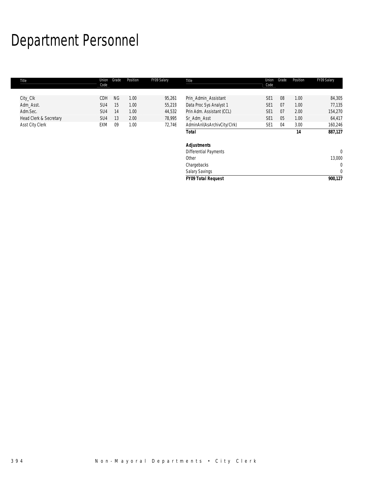# Department Personnel

| Title                  | Union<br>Code | Grade     | Position | FY09 Salary | Title                        | Union<br>Code   | Grade | Position | FY09 Salary  |
|------------------------|---------------|-----------|----------|-------------|------------------------------|-----------------|-------|----------|--------------|
|                        |               |           |          |             |                              |                 |       |          |              |
| City_Clk               | CDH           | <b>NG</b> | 1.00     | 95,261      | Prin Admin Assistant         | SE <sub>1</sub> | 08    | 1.00     | 84,305       |
| Adm_Asst.              | SU4           | 15        | 1.00     | 55,219      | Data Proc Sys Analyst 1      | SE <sub>1</sub> | 07    | 1.00     | 77,135       |
| Adm.Sec.               | SU4           | 14        | 1.00     | 44,532      | Prin Adm. Assistant (CCL)    | SE <sub>1</sub> | 07    | 2.00     | 154,270      |
| Head Clerk & Secretary | SU4           | 13        | 2.00     | 78,995      | Sr_Adm_Asst                  | SE <sub>1</sub> | 05    | 1.00     | 64,417       |
| Asst City Clerk        | EXM           | 09        | 1.00     | 72,746      | AdminAnI(AsArchivCity/Clrk)  | SE <sub>1</sub> | 04    | 3.00     | 160,246      |
|                        |               |           |          |             | <b>Total</b>                 |                 |       | 14       | 887,127      |
|                        |               |           |          |             | <b>Adjustments</b>           |                 |       |          |              |
|                        |               |           |          |             | <b>Differential Payments</b> |                 |       |          | $\mathbf 0$  |
|                        |               |           |          |             | Other                        |                 |       |          | 13,000       |
|                        |               |           |          |             | Chargebacks                  |                 |       |          | 0            |
|                        |               |           |          |             | <b>Salary Savings</b>        |                 |       |          | $\mathbf{0}$ |
|                        |               |           |          |             | <b>FY09 Total Request</b>    |                 |       |          | 900,127      |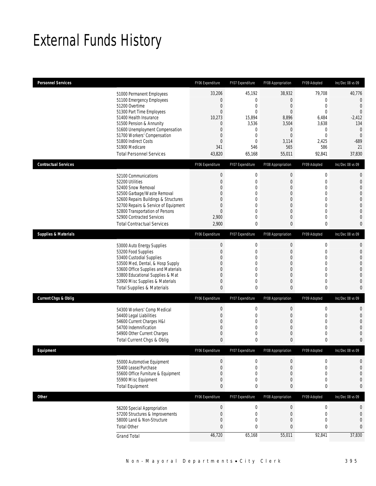## External Funds History

| <b>Personnel Services</b>       |                                                                     | FY06 Expenditure                | FY07 Expenditure                     | <b>FY08 Appropriation</b>       | FY09 Adopted                     | Inc/Dec 08 vs 09                 |
|---------------------------------|---------------------------------------------------------------------|---------------------------------|--------------------------------------|---------------------------------|----------------------------------|----------------------------------|
|                                 | 51000 Permanent Employees                                           | 33,206                          | 45,192                               | 38,932                          | 79,708                           | 40,776                           |
|                                 | 51100 Emergency Employees                                           | 0                               | $\boldsymbol{0}$                     | $\boldsymbol{0}$                | $\mathbf 0$                      | $\mathbf{0}$                     |
|                                 | 51200 Overtime                                                      | $\mathbf 0$                     | $\boldsymbol{0}$                     | $\boldsymbol{0}$                | $\mathbf 0$                      | $\overline{0}$                   |
|                                 | 51300 Part Time Employees<br>51400 Health Insurance                 | $\overline{0}$<br>10,273        | $\mathbf 0$<br>15,894                | $\mathbf{0}$<br>8,896           | $\mathbf{0}$<br>6,484            | $\overline{0}$<br>$-2,412$       |
|                                 | 51500 Pension & Annunity                                            | 0                               | 3,536                                | 3,504                           | 3,638                            | 134                              |
|                                 | 51600 Unemployment Compensation                                     | 0                               | 0                                    | $\overline{0}$                  | $\mathbf{0}$                     | $\mathbf{0}$                     |
|                                 | 51700 Workers' Compensation                                         | $\mathbf 0$                     | $\boldsymbol{0}$                     | $\boldsymbol{0}$                | $\mathbf{0}$                     | $\overline{0}$                   |
|                                 | 51800 Indirect Costs<br>51900 Medicare                              | 0<br>341                        | $\mathbf{0}$<br>546                  | 3,114<br>565                    | 2,425<br>586                     | $-689$<br>21                     |
|                                 | <b>Total Personnel Services</b>                                     | 43,820                          | 65,168                               | 55,011                          | 92,841                           | 37,830                           |
| <b>Contractual Services</b>     |                                                                     | FY06 Expenditure                | FY07 Expenditure                     | FY08 Appropriation              | FY09 Adopted                     | Inc/Dec 08 vs 09                 |
|                                 |                                                                     |                                 |                                      |                                 |                                  |                                  |
|                                 | 52100 Communications<br>52200 Utilities                             | $\boldsymbol{0}$<br>$\mathbf 0$ | $\boldsymbol{0}$<br>$\boldsymbol{0}$ | $\boldsymbol{0}$<br>0           | $\mathbf 0$<br>$\mathbf 0$       | $\mathbf{0}$<br>$\mathbf{0}$     |
|                                 | 52400 Snow Removal                                                  | $\Omega$                        | 0                                    | $\overline{0}$                  | $\mathbf 0$                      | $\overline{0}$                   |
|                                 | 52500 Garbage/Waste Removal                                         | 0                               | $\mathbf 0$                          | 0                               | $\mathbf 0$                      | $\overline{0}$                   |
|                                 | 52600 Repairs Buildings & Structures                                | 0                               | 0                                    | $\overline{0}$                  | $\mathbf 0$                      | $\mathbf{0}$                     |
|                                 | 52700 Repairs & Service of Equipment                                | 0                               | $\mathbf{0}$                         | $\boldsymbol{0}$                | $\mathbf{0}$                     | $\overline{0}$                   |
|                                 | 52800 Transportation of Persons<br>52900 Contracted Services        | $\overline{0}$<br>2,900         | 0<br>0                               | $\overline{0}$<br>$\mathbf 0$   | $\mathbf{0}$<br>0                | $\overline{0}$<br>$\overline{0}$ |
|                                 | <b>Total Contractual Services</b>                                   | 2,900                           | $\bf{0}$                             | 0                               | $\bf{0}$                         | $\mathbf{0}$                     |
| <b>Supplies &amp; Materials</b> |                                                                     | FY06 Expenditure                | FY07 Expenditure                     | FY08 Appropriation              | FY09 Adopted                     | Inc/Dec 08 vs 09                 |
|                                 |                                                                     | $\boldsymbol{0}$                | $\boldsymbol{0}$                     | $\boldsymbol{0}$                | $\mathbf 0$                      | $\mathbf{0}$                     |
|                                 | 53000 Auto Energy Supplies<br>53200 Food Supplies                   | $\mathbf 0$                     | $\boldsymbol{0}$                     | 0                               | $\mathbf 0$                      | $\mathbf{0}$                     |
|                                 | 53400 Custodial Supplies                                            | $\Omega$                        | 0                                    | $\overline{0}$                  | $\mathbf 0$                      | $\overline{0}$                   |
|                                 | 53500 Med, Dental, & Hosp Supply                                    | 0                               | $\mathbf 0$                          | $\mathbf 0$                     | $\mathbf{0}$                     | $\overline{0}$                   |
|                                 | 53600 Office Supplies and Materials                                 | 0                               | 0                                    | $\overline{0}$                  | $\mathbf 0$                      | $\mathbf{0}$                     |
|                                 | 53800 Educational Supplies & Mat<br>53900 Misc Supplies & Materials | 0<br>0                          | $\boldsymbol{0}$<br>0                | $\boldsymbol{0}$<br>$\mathbf 0$ | $\overline{0}$<br>$\overline{0}$ | $\overline{0}$<br>$\overline{0}$ |
|                                 | <b>Total Supplies &amp; Materials</b>                               | $\overline{0}$                  | 0                                    | 0                               | 0                                | $\mathbf{0}$                     |
| <b>Current Chgs &amp; Oblig</b> |                                                                     | FY06 Expenditure                | FY07 Expenditure                     | FY08 Appropriation              | FY09 Adopted                     | Inc/Dec 08 vs 09                 |
|                                 |                                                                     | 0                               | 0                                    | $\boldsymbol{0}$                | 0                                | $\mathbf{0}$                     |
|                                 | 54300 Workers' Comp Medical<br>54400 Legal Liabilities              | 0                               | 0                                    | 0                               | 0                                | $\mathbf{0}$                     |
|                                 | 54600 Current Charges H&I                                           | 0                               | $\mathbf 0$                          | 0                               | $\overline{0}$                   | $\mathbf{0}$                     |
|                                 | 54700 Indemnification                                               | 0                               | $\mathbf{0}$                         | $\overline{0}$                  | $\mathbf 0$                      | $\overline{0}$                   |
|                                 | 54900 Other Current Charges                                         | 0                               | 0                                    | $\mathbf 0$                     | 0                                | $\Omega$                         |
|                                 | Total Current Chgs & Oblig                                          | $\overline{0}$                  | 0                                    | $\mathbf{0}$                    | 0                                | $\mathbf{0}$                     |
| <b>Fauinment</b>                |                                                                     | FY06 Expenditure                | FY07 Expenditure                     | FY08 Appropriation              | FY09 Adopted                     | Inc/Dec 08 vs 09                 |
|                                 | 55000 Automotive Equipment                                          | 0                               | 0                                    | $\mathbf 0$                     | $\mathbf 0$                      | 0                                |
|                                 | 55400 Lease/Purchase                                                | $\overline{0}$                  | $\mathbf 0$                          | $\mathbf 0$                     | $\mathbf 0$                      | $\overline{0}$                   |
|                                 | 55600 Office Furniture & Equipment<br>55900 Misc Equipment          | $\mathbf 0$<br>$\mathbf 0$      | $\boldsymbol{0}$<br>$\boldsymbol{0}$ | $\boldsymbol{0}$<br>0           | $\mathbf 0$<br>$\mathbf 0$       | $\overline{0}$<br>$\mathbf 0$    |
|                                 | <b>Total Equipment</b>                                              | $\overline{0}$                  | 0                                    | 0                               | 0                                | $\mathbf{0}$                     |
| <b>Other</b>                    |                                                                     | FY06 Expenditure                | FY07 Expenditure                     | FY08 Appropriation              | FY09 Adopted                     | Inc/Dec 08 vs 09                 |
|                                 | 56200 Special Appropriation                                         | $\boldsymbol{0}$                | $\boldsymbol{0}$                     | $\boldsymbol{0}$                | $\boldsymbol{0}$                 | $\mathbf 0$                      |
|                                 | 57200 Structures & Improvements                                     | $\mathbf 0$                     | $\boldsymbol{0}$                     | $\boldsymbol{0}$                | $\mathbf 0$                      | $\mathbf{0}$                     |
|                                 | 58000 Land & Non-Structure                                          | $\mathbf 0$                     | $\boldsymbol{0}$                     | $\boldsymbol{0}$                | $\overline{0}$                   | $\mathbf{0}$                     |
|                                 | <b>Total Other</b>                                                  | $\overline{0}$                  | 0                                    | 0                               | 0                                | $\mathbf{0}$                     |
|                                 | <b>Grand Total</b>                                                  | 46,720                          | 65,168                               | 55,011                          | 92,841                           | 37,830                           |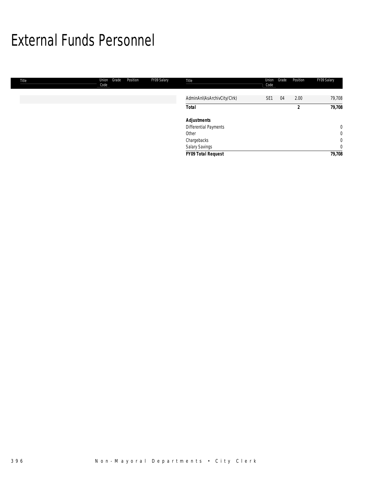## External Funds Personnel

| Title | Grade<br>Union<br>Code | Position | FY09 Salary | Title                       | Union<br>Code   | Grade | Position | FY09 Salary    |
|-------|------------------------|----------|-------------|-----------------------------|-----------------|-------|----------|----------------|
|       |                        |          |             | AdminAnI(AsArchivCity/Clrk) | SE <sub>1</sub> | 04    | 2.00     | 79,708         |
|       |                        |          |             | <b>Total</b>                |                 |       | n        | 79,708         |
|       |                        |          |             | <b>Adjustments</b>          |                 |       |          |                |
|       |                        |          |             | Differential Payments       |                 |       |          | $\mathbf{0}$   |
|       |                        |          |             | Other                       |                 |       |          | $\overline{0}$ |
|       |                        |          |             | Chargebacks                 |                 |       |          | $\overline{0}$ |
|       |                        |          |             | Salary Savings              |                 |       |          | $\mathbf{0}$   |
|       |                        |          |             | FY09 Total Request          |                 |       |          | 79,708         |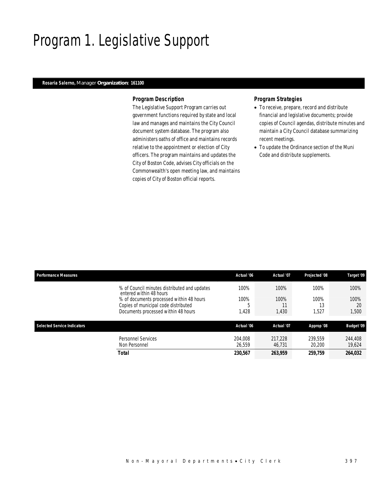## Program 1. Legislative Support

### *Rosaria Salerno, Manager Organization: 161100*

#### *Program Description*

The Legislative Support Program carries out government functions required by state and local law and manages and maintains the City Council document system database. The program also administers oaths of office and maintains records relative to the appointment or election of City officers. The program maintains and updates the City of Boston Code, advises City officials on the Commonwealth's open meeting law, and maintains copies of City of Boston official reports.

### *Program Strategies*

- To receive, prepare, record and distribute financial and legislative documents; provide copies of Council agendas, distribute minutes and maintain a City Council database summarizing recent meetings.
- To update the Ordinance section of the Muni Code and distribute supplements.

| <b>Performance Measures</b> |                                                                                                                                                                                                    | Actual '06                 | Actual '07                  | Projected '08               | Target '09                  |
|-----------------------------|----------------------------------------------------------------------------------------------------------------------------------------------------------------------------------------------------|----------------------------|-----------------------------|-----------------------------|-----------------------------|
|                             | % of Council minutes distributed and updates<br>entered within 48 hours<br>% of documents processed within 48 hours<br>Copies of municipal code distributed<br>Documents processed within 48 hours | 100%<br>100%<br>h<br>1,428 | 100%<br>100%<br>11<br>1,430 | 100%<br>100%<br>13<br>1,527 | 100%<br>100%<br>20<br>1,500 |
| Selected Service Indicators |                                                                                                                                                                                                    | Actual '06                 | Actual '07                  | Approp '08                  | <b>Budget '09</b>           |
|                             | <b>Personnel Services</b><br>Non Personnel                                                                                                                                                         | 204.008<br>26.559          | 217,228<br>46.731           | 239.559<br>20,200           | 244,408<br>19.624           |
|                             | Total                                                                                                                                                                                              | 230,567                    | 263,959                     | 259,759                     | 264,032                     |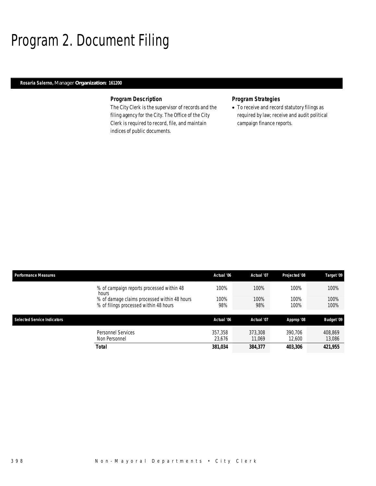## Program 2. Document Filing

### *Rosaria Salerno, Manager Organization: 161200*

### *Program Description*

The City Clerk is the supervisor of records and the filing agency for the City. The Office of the City Clerk is required to record, file, and maintain indices of public documents.

## *Program Strategies*

• To receive and record statutory filings as required by law; receive and audit political campaign finance reports.

| <b>Performance Measures</b>        |                                                                                        | Actual '06        | Actual '07        | Projected '08     | Target '09        |
|------------------------------------|----------------------------------------------------------------------------------------|-------------------|-------------------|-------------------|-------------------|
|                                    | % of campaign reports processed within 48<br>hours                                     | 100%              | 100%              | 100%              | 100%              |
|                                    | % of damage claims processed within 48 hours<br>% of filings processed within 48 hours | 100%<br>98%       | 100%<br>98%       | 100%<br>100%      | 100%<br>100%      |
| <b>Selected Service Indicators</b> |                                                                                        | Actual '06        | Actual '07        | Approp '08        | <b>Budget '09</b> |
|                                    | Personnel Services<br>Non Personnel                                                    | 357,358<br>23.676 | 373,308<br>11.069 | 390.706<br>12.600 | 408.869<br>13.086 |
|                                    | <b>Total</b>                                                                           | 381,034           | 384,377           | 403,306           | 421,955           |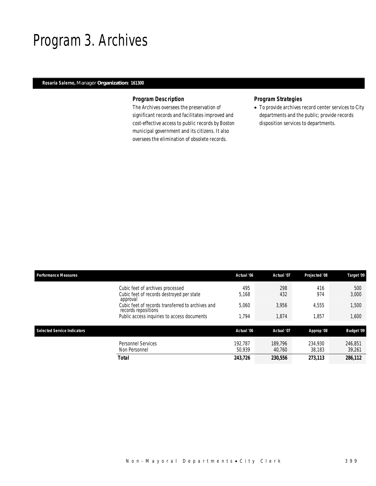## Program 3. Archives

### *Rosaria Salerno, Manager Organization: 161300*

### *Program Description*

The Archives oversees the preservation of significant records and facilitates improved and cost-effective access to public records by Boston municipal government and its citizens. It also oversees the elimination of obsolete records.

## *Program Strategies*

• To provide archives record center services to City departments and the public; provide records disposition services to departments.

| <b>Performance Measures</b> |                                                                                           | Actual '06        | Actual '07        | Projected '08     | Target '09        |
|-----------------------------|-------------------------------------------------------------------------------------------|-------------------|-------------------|-------------------|-------------------|
|                             | Cubic feet of archives processed<br>Cubic feet of records destroyed per state<br>approval | 495<br>5,168      | 298<br>432        | 416<br>974        | 500<br>3,000      |
|                             | Cubic feet of records transferred to archives and<br>records repositions                  | 5,060             | 3.956             | 4.555             | 1,500             |
|                             | Public access inquiries to access documents                                               | 1.794             | 1,874             | 1.857             | 1,600             |
| Selected Service Indicators |                                                                                           | Actual '06        | Actual '07        | Approp '08        | <b>Budget '09</b> |
|                             | <b>Personnel Services</b><br>Non Personnel                                                | 192.787<br>50.939 | 189.796<br>40.760 | 234.930<br>38.183 | 246.851<br>39,261 |
|                             | <b>Total</b>                                                                              | 243,726           | 230,556           | 273.113           | 286,112           |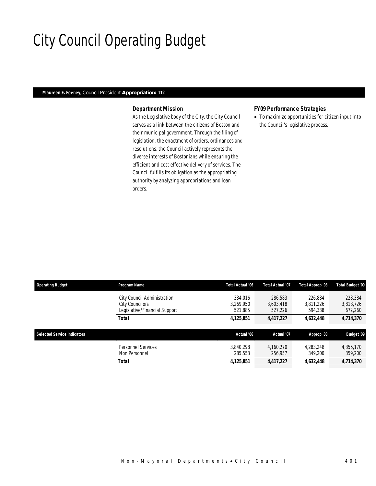## City Council Operating Budget

### *Maureen E. Feeney, Council President Appropriation: 112*

### *Department Mission*

As the Legislative body of the City, the City Council serves as a link between the citizens of Boston and their municipal government. Through the filing of legislation, the enactment of orders, ordinances and resolutions, the Council actively represents the diverse interests of Bostonians while ensuring the efficient and cost effective delivery of services. The Council fulfills its obligation as the appropriating authority by analyzing appropriations and loan orders.

#### *FY09 Performance Strategies*

• To maximize opportunities for citizen input into the Council's legislative process.

| <b>Operating Budget</b>            | Program Name                                                                    | Total Actual '06                | <b>Total Actual '07</b>         | Total Approp '08                | Total Budget '09                |
|------------------------------------|---------------------------------------------------------------------------------|---------------------------------|---------------------------------|---------------------------------|---------------------------------|
|                                    | City Council Administration<br>City Councilors<br>Legislative/Financial Support | 334.016<br>3.269.950<br>521,885 | 286,583<br>3.603.418<br>527,226 | 226.884<br>3.811.226<br>594,338 | 228,384<br>3,813,726<br>672,260 |
|                                    | <b>Total</b>                                                                    | 4,125,851                       | 4,417,227                       | 4,632,448                       | 4,714,370                       |
| <b>Selected Service Indicators</b> |                                                                                 | Actual '06                      | Actual '07                      | Approp '08                      | <b>Budget '09</b>               |
|                                    | <b>Personnel Services</b><br>Non Personnel                                      | 3.840.298<br>285.553            | 4.160.270<br>256,957            | 4.283.248<br>349,200            | 4,355,170<br>359,200            |
|                                    | <b>Total</b>                                                                    | 4,125,851                       | 4,417,227                       | 4,632,448                       | 4,714,370                       |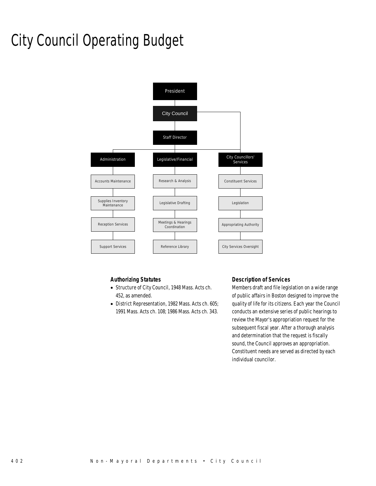# City Council Operating Budget



### *Authorizing Statutes*

- Structure of City Council, 1948 Mass. Acts ch. 452, as amended.
- District Representation, 1982 Mass. Acts ch. 605; 1991 Mass. Acts ch. 108; 1986 Mass. Acts ch. 343.

### *Description of Services*

Members draft and file legislation on a wide range of public affairs in Boston designed to improve the quality of life for its citizens. Each year the Council conducts an extensive series of public hearings to review the Mayor's appropriation request for the subsequent fiscal year. After a thorough analysis and determination that the request is fiscally sound, the Council approves an appropriation. Constituent needs are served as directed by each individual councilor.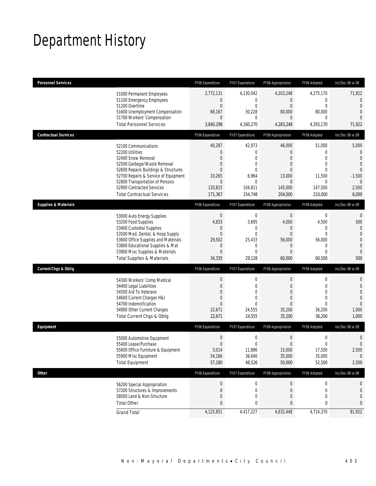# Department History

| <b>Personnel Services</b>       |                                       | FY06 Expenditure | FY07 Expenditure | FY08 Appropriation | FY09 Adopted     | Inc/Dec 08 vs 09 |
|---------------------------------|---------------------------------------|------------------|------------------|--------------------|------------------|------------------|
|                                 | 51000 Permanent Employees             | 3,772,131        | 4,130,042        | 4,203,248          | 4,275,170        | 71,922           |
|                                 | 51100 Emergency Employees             | 0                | $\mathbf 0$      | $\mathbf 0$        | $\mathbf{0}$     | $\overline{0}$   |
|                                 | 51200 Overtime                        | $\mathbf{0}$     | $\overline{0}$   | $\mathbf{0}$       | $\mathbf{0}$     | $\Omega$         |
|                                 | 51600 Unemployment Compensation       | 68,167           | 30,228           | 80,000             | 80,000           | $\mathbf{0}$     |
|                                 | 51700 Workers' Compensation           | $\overline{0}$   | 0                | $\mathbf{0}$       | 0                | $\Omega$         |
|                                 | <b>Total Personnel Services</b>       | 3,840,298        | 4,160,270        | 4,283,248          | 4,355,170        | 71,922           |
| <b>Contractual Services</b>     |                                       | FY06 Expenditure | FY07 Expenditure | FY08 Appropriation | FY09 Adopted     | Inc/Dec 08 vs 09 |
|                                 | 52100 Communications                  | 40,287           | 42,973           | 46,000             | 51,000           | 5,000            |
|                                 | 52200 Utilities                       | 0                | $\mathbf 0$      | $\boldsymbol{0}$   | $\theta$         | $\mathbf{0}$     |
|                                 | 52400 Snow Removal                    | 0                | $\mathbf 0$      | $\mathbf{0}$       | $\overline{0}$   | $\mathbf{0}$     |
|                                 | 52500 Garbage/Waste Removal           | 0                | 0                | $\mathbf{0}$       | $\mathbf{0}$     | $\mathbf{0}$     |
|                                 | 52600 Repairs Buildings & Structures  | 0                | $\Omega$         | $\overline{0}$     | $\theta$         | $\overline{0}$   |
|                                 | 52700 Repairs & Service of Equipment  | 10,265           | 6,964            | 13,000             | 11,500           | $-1,500$         |
|                                 | 52800 Transportation of Persons       | $\mathbf 0$      | $\mathbf 0$      | $\mathbf 0$        | $\mathbf{0}$     | $\mathbf{0}$     |
|                                 | 52900 Contracted Services             | 120,815          | 104,811          | 145,000            | 147,500          | 2,500            |
|                                 | <b>Total Contractual Services</b>     | 171,367          | 154,748          | 204,000            | 210,000          | 6,000            |
| <b>Supplies &amp; Materials</b> |                                       | FY06 Expenditure | FY07 Expenditure | FY08 Appropriation | FY09 Adopted     | Inc/Dec 08 vs 09 |
|                                 | 53000 Auto Energy Supplies            | $\mathbf{0}$     | $\mathbf 0$      | $\mathbf 0$        | $\mathbf 0$      | $\mathbf{0}$     |
|                                 | 53200 Food Supplies                   | 4,833            | 3,695            | 4,000              | 4,500            | 500              |
|                                 | 53400 Custodial Supplies              | 0                | 0                | 0                  | 0                | $\theta$         |
|                                 | 53500 Med, Dental, & Hosp Supply      | $\overline{0}$   | $\mathbf{0}$     | $\boldsymbol{0}$   | $\mathbf{0}$     | $\overline{0}$   |
|                                 | 53600 Office Supplies and Materials   | 29,502           | 25,433           | 56,000             | 56,000           | $\overline{0}$   |
|                                 | 53800 Educational Supplies & Mat      | 0                | 0                | $\mathbf 0$        | $\mathbf{0}$     | $\mathbf{0}$     |
|                                 | 53900 Misc Supplies & Materials       | 0                | $\mathbf{0}$     | $\overline{0}$     | $\mathbf{0}$     | $\mathbf{0}$     |
|                                 | <b>Total Supplies &amp; Materials</b> | 34,335           | 29,128           | 60,000             | 60,500           | 500              |
| <b>Current Chgs &amp; Oblig</b> |                                       | FY06 Expenditure | FY07 Expenditure | FY08 Appropriation | FY09 Adopted     | Inc/Dec 08 vs 09 |
|                                 | 54300 Workers' Comp Medical           | $\boldsymbol{0}$ | 0                | $\mathbf 0$        | $\mathbf 0$      | $\mathbf{0}$     |
|                                 | 54400 Legal Liabilities               | 0                | $\mathbf 0$      | $\mathbf 0$        | $\mathbf{0}$     | $\mathbf{0}$     |
|                                 | 54500 Aid To Veterans                 | 0                | $\mathbf{0}$     | $\mathbf{0}$       | $\theta$         | $\mathbf{0}$     |
|                                 | 54600 Current Charges H&I             | 0                | $\mathbf{0}$     | $\overline{0}$     | $\mathbf{0}$     | $\overline{0}$   |
|                                 | 54700 Indemnification                 | 0                | $\Omega$         | $\mathbf{0}$       | $\theta$         | $\Omega$         |
|                                 | 54900 Other Current Charges           | 22,671           | 24,555           | 35,200             | 36,200           | 1,000            |
|                                 | Total Current Chgs & Oblig            | 22,671           | 24,555           | 35,200             | 36,200           | 1,000            |
| Equipment                       |                                       | FY06 Expenditure | FY07 Expenditure | FY08 Appropriation | FY09 Adopted     | Inc/Dec 08 vs 09 |
|                                 | 55000 Automotive Equipment            | $\boldsymbol{0}$ | $\mathbf 0$      | $\boldsymbol{0}$   | $\mathbf 0$      | $\mathbf{0}$     |
|                                 | 55400 Lease/Purchase                  | 0                | $\mathbf 0$      | $\boldsymbol{0}$   | $\mathbf{0}$     | $\mathbf 0$      |
|                                 | 55600 Office Furniture & Equipment    | 3,014            | 11,886           | 15,000             | 17,500           | 2,500            |
|                                 | 55900 Misc Equipment                  | 54,166           | 36,640           | 35,000             | 35,000           | $\mathbf 0$      |
|                                 | <b>Total Equipment</b>                | 57,180           | 48,526           | 50,000             | 52,500           | 2,500            |
| Other                           |                                       | FY06 Expenditure | FY07 Expenditure | FY08 Appropriation | FY09 Adopted     | Inc/Dec 08 vs 09 |
|                                 | 56200 Special Appropriation           | $\theta$         | $\pmb{0}$        | $\boldsymbol{0}$   | $\boldsymbol{0}$ | 0                |
|                                 | 57200 Structures & Improvements       | $\boldsymbol{0}$ | $\mathbf 0$      | $\boldsymbol{0}$   | $\mathbf 0$      | 0                |
|                                 | 58000 Land & Non-Structure            | 0                | 0                | $\boldsymbol{0}$   | $\mathbf 0$      | $\mathbf{0}$     |
|                                 | <b>Total Other</b>                    | 0                | 0                | 0                  | 0                | 0                |
|                                 | <b>Grand Total</b>                    | 4,125,851        | 4,417,227        | 4,632,448          | 4,714,370        | 81,922           |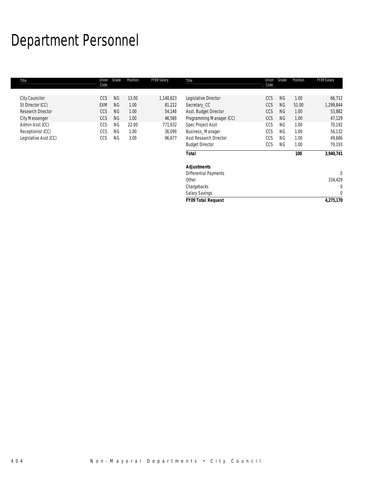# Department Personnel

| Title                 | Union<br>Code | Grade     | Position | FY09 Salary | Title                         | Union<br>Code | Grade     | Position | FY09 Salary  |
|-----------------------|---------------|-----------|----------|-------------|-------------------------------|---------------|-----------|----------|--------------|
|                       |               | <b>NG</b> | 13.00    |             |                               | CCS           | <b>NG</b> | 1.00     |              |
| <b>City Councilor</b> | <b>CCS</b>    |           |          | 1,140,623   | Legislative Director          |               |           |          | 66,712       |
| St Director (CC)      | <b>EXM</b>    | <b>NG</b> | 1.00     | 81,222      | Secretary_CC                  | CCS           | <b>NG</b> | 51.00    | 1,299,844    |
| Research Director     | CCS           | <b>NG</b> | 1.00     | 54,148      | Asst. Budget Director         | CCS           | <b>NG</b> | 1.00     | 53,882       |
| <b>City Messenger</b> | CCS           | <b>NG</b> | 1.00     | 46,569      | Programming Manager (CC)      | CCS           | <b>NG</b> | 1.00     | 47,129       |
| Admin Asst (CC)       | CCS           | <b>NG</b> | 22.00    | 771,632     | Spec Project Asst             | CCS           | <b>NG</b> | 1.00     | 70,192       |
| Receptionist (CC)     | CCS           | <b>NG</b> | 1.00     | 36,099      | Business_Manager              | CCS           | <b>NG</b> | 1.00     | 56,132       |
| Legislative Asst (CC) | CCS           | <b>NG</b> | 3.00     | 96,677      | <b>Asst Research Director</b> | CCS           | <b>NG</b> | 1.00     | 49,686       |
|                       |               |           |          |             | <b>Budget Director</b>        | CCS           | <b>NG</b> | 1.00     | 70,193       |
|                       |               |           |          |             | <b>Total</b>                  |               |           | 100      | 3,940,741    |
|                       |               |           |          |             | <b>Adjustments</b>            |               |           |          |              |
|                       |               |           |          |             | <b>Differential Payments</b>  |               |           |          | $\mathbf{0}$ |
|                       |               |           |          |             | Other                         |               |           |          | 334,429      |
|                       |               |           |          |             | Chargebacks                   |               |           |          | $\mathbf{0}$ |
|                       |               |           |          |             | <b>Salary Savings</b>         |               |           |          | $\mathbf{0}$ |
|                       |               |           |          |             | <b>FY09 Total Request</b>     |               |           |          | 4,275,170    |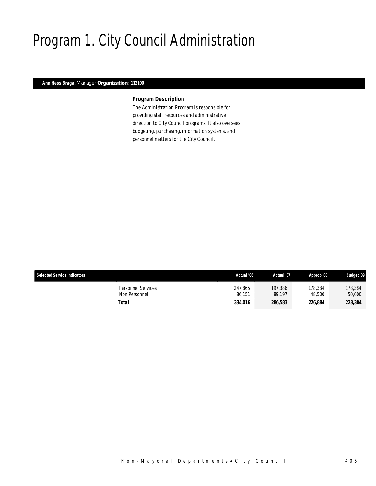# Program 1. City Council Administration

### *Ann Hess Braga, Manager Organization: 112100*

### *Program Description*

The Administration Program is responsible for providing staff resources and administrative direction to City Council programs. It also oversees budgeting, purchasing, information systems, and personnel matters for the City Council.

| <b>Selected Service Indicators</b>  | Actual '06        | Actual '07        | Approp '08        | <b>Budget '09</b> |
|-------------------------------------|-------------------|-------------------|-------------------|-------------------|
| Personnel Services<br>Non Personnel | 247.865<br>86.151 | 197.386<br>89.197 | 178.384<br>48,500 | 178,384<br>50,000 |
| Total                               | 334.016           | 286,583           | 226.884           | 228,384           |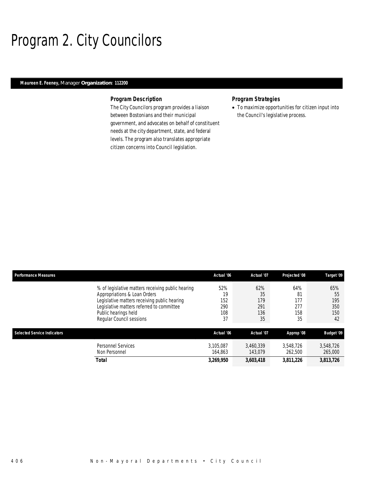## Program 2. City Councilors

### *Maureen E. Feeney, Manager Organization: 112200*

#### *Program Description*

The City Councilors program provides a liaison between Bostonians and their municipal government, and advocates on behalf of constituent needs at the city department, state, and federal levels. The program also translates appropriate citizen concerns into Council legislation.

### *Program Strategies*

• To maximize opportunities for citizen input into the Council's legislative process.

| <b>Performance Measures</b>        |                                                   | Actual '06 | Actual '07 | Projected '08 | Target '09        |
|------------------------------------|---------------------------------------------------|------------|------------|---------------|-------------------|
|                                    | % of legislative matters receiving public hearing | 52%        | 62%        | 64%           | 65%               |
|                                    | Appropriations & Loan Orders                      | 19         | 35         | 81            | 55                |
|                                    | Legislative matters receiving public hearing      | 152        | 179        | 177           | 195               |
|                                    | Legislative matters referred to committee         | 290        | 291        | 277           | 350               |
|                                    | Public hearings held                              | 108        | 136        | 158           | 150               |
|                                    | Regular Council sessions                          | 37         | 35         | 35            | 42                |
| <b>Selected Service Indicators</b> |                                                   | Actual '06 | Actual '07 | Approp '08    | <b>Budget '09</b> |
|                                    | <b>Personnel Services</b>                         | 3.105.087  | 3.460.339  | 3.548.726     | 3,548,726         |
|                                    | Non Personnel                                     | 164.863    | 143,079    | 262,500       | 265,000           |
|                                    | <b>Total</b>                                      | 3,269,950  | 3,603,418  | 3,811,226     | 3,813,726         |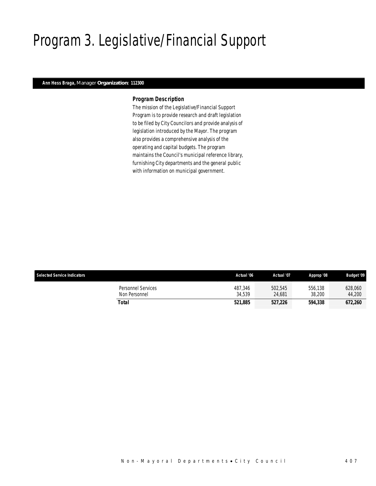# Program 3. Legislative/Financial Support

## *Ann Hess Braga, Manager Organization: 112300*

#### *Program Description*

The mission of the Legislative/Financial Support Program is to provide research and draft legislation to be filed by City Councilors and provide analysis of legislation introduced by the Mayor. The program also provides a comprehensive analysis of the operating and capital budgets. The program maintains the Council's municipal reference library, furnishing City departments and the general public with information on municipal government.

| <b>Selected Service Indicators</b>  | Actual '06        | Actual '07        | Approp '08        | <b>Budget '09</b> |
|-------------------------------------|-------------------|-------------------|-------------------|-------------------|
| Personnel Services<br>Non Personnel | 487.346<br>34.539 | 502,545<br>24.681 | 556.138<br>38,200 | 628,060<br>44,200 |
| Total                               | 521.885           | 527.226           | 594.338           | 672,260           |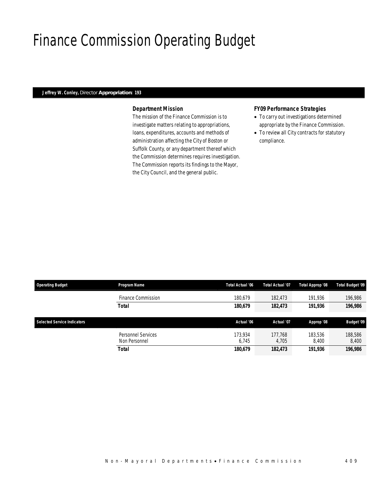## Finance Commission Operating Budget

### *Jeffrey W. Conley, Director Appropriation: 193*

#### *Department Mission*

The mission of the Finance Commission is to investigate matters relating to appropriations, loans, expenditures, accounts and methods of administration affecting the City of Boston or Suffolk County, or any department thereof which the Commission determines requires investigation. The Commission reports its findings to the Mayor, the City Council, and the general public.

#### *FY09 Performance Strategies*

- To carry out investigations determined appropriate by the Finance Commission.
- To review all City contracts for statutory compliance.

| <b>Operating Budget</b>            | Program Name                        | Total Actual '06 | <b>Total Actual '07</b> | Total Approp '08 | Total Budget '09  |
|------------------------------------|-------------------------------------|------------------|-------------------------|------------------|-------------------|
|                                    | Finance Commission                  | 180.679          | 182,473                 | 191.936          | 196.986           |
|                                    | <b>Total</b>                        | 180,679          | 182,473                 | 191,936          | 196,986           |
| <b>Selected Service Indicators</b> |                                     | Actual '06       | Actual '07              | Approp '08       | <b>Budget '09</b> |
|                                    | Personnel Services<br>Non Personnel | 173,934<br>6.745 | 177.768<br>4.705        | 183,536<br>8.400 | 188,586<br>8,400  |
|                                    | <b>Total</b>                        | 180,679          | 182,473                 | 191,936          | 196,986           |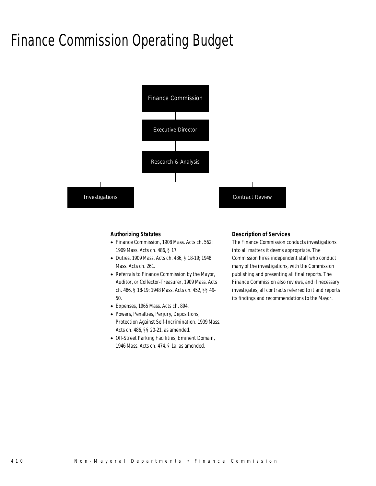## Finance Commission Operating Budget



#### *Authorizing Statutes*

- Finance Commission, 1908 Mass. Acts ch. 562; 1909 Mass. Acts ch. 486, § 17.
- Duties, 1909 Mass. Acts ch. 486, § 18-19; 1948 Mass. Acts ch. 261.
- Referrals to Finance Commission by the Mayor, Auditor, or Collector-Treasurer, 1909 Mass. Acts ch. 486, § 18-19; 1948 Mass. Acts ch. 452, §§ 49- 50.
- Expenses, 1965 Mass. Acts ch. 894.
- Powers, Penalties, Perjury, Depositions, Protection Against Self-Incrimination, 1909 Mass. Acts ch. 486, §§ 20-21, as amended.
- Off-Street Parking Facilities, Eminent Domain, 1946 Mass. Acts ch. 474, § 1a, as amended.

#### *Description of Services*

The Finance Commission conducts investigations into all matters it deems appropriate. The Commission hires independent staff who conduct many of the investigations, with the Commission publishing and presenting all final reports. The Finance Commission also reviews, and if necessary investigates, all contracts referred to it and reports its findings and recommendations to the Mayor.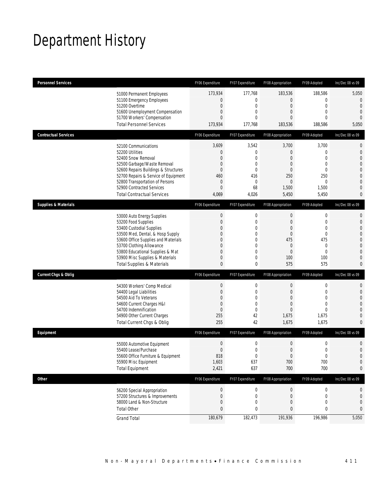## Department History

| <b>Personnel Services</b>       |                                                                                                                                                                                                                                                                                                      | FY06 Expenditure                                                                                  | FY07 Expenditure                                                                                                             | FY08 Appropriation                                                                                                      | FY09 Adopted                                                                                                  | Inc/Dec 08 vs 09                                                                                                                                |
|---------------------------------|------------------------------------------------------------------------------------------------------------------------------------------------------------------------------------------------------------------------------------------------------------------------------------------------------|---------------------------------------------------------------------------------------------------|------------------------------------------------------------------------------------------------------------------------------|-------------------------------------------------------------------------------------------------------------------------|---------------------------------------------------------------------------------------------------------------|-------------------------------------------------------------------------------------------------------------------------------------------------|
|                                 | 51000 Permanent Employees<br>51100 Emergency Employees<br>51200 Overtime<br>51600 Unemployment Compensation<br>51700 Workers' Compensation<br><b>Total Personnel Services</b>                                                                                                                        | 173,934<br>0<br>0<br>$\mathbf 0$<br>$\mathbf{0}$<br>173,934                                       | 177,768<br>$\boldsymbol{0}$<br>$\mathbf 0$<br>$\mathbf 0$<br>$\mathbf 0$<br>177,768                                          | 183,536<br>$\mathbf 0$<br>$\mathbf 0$<br>$\boldsymbol{0}$<br>0<br>183,536                                               | 188,586<br>$\mathbf 0$<br>$\mathbf 0$<br>$\mathbf{0}$<br>$\mathbf 0$<br>188,586                               | 5,050<br>$\mathbf 0$<br>$\mathbf{0}$<br>$\mathbf{0}$<br>$\overline{0}$<br>5,050                                                                 |
| <b>Contractual Services</b>     |                                                                                                                                                                                                                                                                                                      | FY06 Expenditure                                                                                  | FY07 Expenditure                                                                                                             | FY08 Appropriation                                                                                                      | FY09 Adopted                                                                                                  | Inc/Dec 08 vs 09                                                                                                                                |
|                                 | 52100 Communications<br>52200 Utilities<br>52400 Snow Removal<br>52500 Garbage/Waste Removal<br>52600 Repairs Buildings & Structures<br>52700 Repairs & Service of Equipment<br>52800 Transportation of Persons<br>52900 Contracted Services<br><b>Total Contractual Services</b>                    | 3,609<br>0<br>$\mathbf{0}$<br>$\mathbf{0}$<br>$\overline{0}$<br>460<br>0<br>$\mathbf{0}$<br>4,069 | 3,542<br>$\mathbf 0$<br>$\mathbf 0$<br>$\mathbf 0$<br>$\mathbf{0}$<br>416<br>$\mathbf 0$<br>68<br>4,026                      | 3,700<br>$\mathbf 0$<br>$\mathbf{0}$<br>$\mathbf{0}$<br>$\mathbf{0}$<br>250<br>$\mathbf 0$<br>1,500<br>5,450            | 3,700<br>$\mathbf 0$<br>$\mathbf{0}$<br>$\mathbf{0}$<br>$\mathbf{0}$<br>250<br>$\mathbf 0$<br>1,500<br>5,450  | $\mathbf 0$<br>$\mathbf 0$<br>$\overline{0}$<br>$\mathbf{0}$<br>$\mathbf 0$<br>$\overline{0}$<br>$\mathbf{0}$<br>$\overline{0}$<br>0            |
| <b>Supplies &amp; Materials</b> |                                                                                                                                                                                                                                                                                                      | FY06 Expenditure                                                                                  | FY07 Expenditure                                                                                                             | FY08 Appropriation                                                                                                      | FY09 Adopted                                                                                                  | Inc/Dec 08 vs 09                                                                                                                                |
|                                 | 53000 Auto Energy Supplies<br>53200 Food Supplies<br>53400 Custodial Supplies<br>53500 Med, Dental, & Hosp Supply<br>53600 Office Supplies and Materials<br>53700 Clothing Allowance<br>53800 Educational Supplies & Mat<br>53900 Misc Supplies & Materials<br><b>Total Supplies &amp; Materials</b> | $\boldsymbol{0}$<br>$\mathbf 0$<br>$\mathbf{0}$<br>$\Omega$<br>0<br>0<br>0<br>0<br>0              | $\boldsymbol{0}$<br>$\mathbf 0$<br>$\mathbf 0$<br>$\mathbf{0}$<br>$\theta$<br>$\mathbf 0$<br>$\mathbf 0$<br>$\mathbf 0$<br>0 | $\boldsymbol{0}$<br>$\boldsymbol{0}$<br>$\mathbf{0}$<br>$\mathbf 0$<br>475<br>$\mathbf 0$<br>$\mathbf{0}$<br>100<br>575 | $\mathbf 0$<br>$\mathbf 0$<br>$\mathbf{0}$<br>$\mathbf 0$<br>475<br>$\mathbf{0}$<br>$\mathbf 0$<br>100<br>575 | $\mathbf{0}$<br>$\mathbf{0}$<br>$\mathbf{0}$<br>$\mathbf{0}$<br>$\mathbf 0$<br>$\overline{0}$<br>$\mathbf{0}$<br>$\overline{0}$<br>$\mathbf{0}$ |
| <b>Current Chgs &amp; Oblig</b> |                                                                                                                                                                                                                                                                                                      | FY06 Expenditure                                                                                  | FY07 Expenditure                                                                                                             | FY08 Appropriation                                                                                                      | FY09 Adopted                                                                                                  | Inc/Dec 08 vs 09                                                                                                                                |
|                                 | 54300 Workers' Comp Medical<br>54400 Legal Liabilities<br>54500 Aid To Veterans<br>54600 Current Charges H&I<br>54700 Indemnification<br>54900 Other Current Charges<br>Total Current Chgs & Oblig                                                                                                   | $\boldsymbol{0}$<br>0<br>$\mathbf{0}$<br>$\overline{0}$<br>$\mathbf 0$<br>255<br>255              | $\boldsymbol{0}$<br>$\mathbf 0$<br>$\mathbf{0}$<br>$\mathbf{0}$<br>$\mathbf 0$<br>42<br>42                                   | $\boldsymbol{0}$<br>$\mathbf 0$<br>$\mathbf{0}$<br>$\mathbf{0}$<br>$\overline{0}$<br>1,675<br>1,675                     | $\boldsymbol{0}$<br>$\mathbf 0$<br>$\mathbf{0}$<br>$\mathbf{0}$<br>$\mathbf{0}$<br>1,675<br>1,675             | $\mathbf{0}$<br>$\mathbf 0$<br>$\overline{0}$<br>$\overline{0}$<br>$\overline{0}$<br>$\mathbf{0}$<br>$\mathbf{0}$                               |
| Equipment                       |                                                                                                                                                                                                                                                                                                      | FY06 Expenditure                                                                                  | FY07 Expenditure                                                                                                             | FY08 Appropriation                                                                                                      | FY09 Adopted                                                                                                  | Inc/Dec 08 vs 09                                                                                                                                |
|                                 | 55000 Automotive Equipment<br>55400 Lease/Purchase<br>55600 Office Furniture & Equipment<br>55900 Misc Equipment<br><b>Total Equipment</b>                                                                                                                                                           | 0<br>$\Omega$<br>818<br>1,603<br>2,421                                                            | $\mathbf 0$<br>0<br>$\boldsymbol{0}$<br>637<br>637                                                                           | $\mathbf 0$<br>$\mathbf 0$<br>$\mathbf 0$<br>700<br>700                                                                 | $\boldsymbol{0}$<br>$\mathbf 0$<br>$\boldsymbol{0}$<br>700<br>700                                             | $\mathbf 0$<br>$\Omega$<br>$\mathbf 0$<br>0<br>0                                                                                                |
| <b>Other</b>                    |                                                                                                                                                                                                                                                                                                      | FY06 Expenditure                                                                                  | FY07 Expenditure                                                                                                             | FY08 Appropriation                                                                                                      | FY09 Adopted                                                                                                  | Inc/Dec 08 vs 09                                                                                                                                |
| <b>Total Other</b>              | 56200 Special Appropriation<br>57200 Structures & Improvements<br>58000 Land & Non-Structure                                                                                                                                                                                                         | $\boldsymbol{0}$<br>$\boldsymbol{0}$<br>$\mathbf 0$<br>0                                          | $\boldsymbol{0}$<br>$\boldsymbol{0}$<br>$\mathbf 0$<br>0                                                                     | $\boldsymbol{0}$<br>$\boldsymbol{0}$<br>0<br>$\bf{0}$                                                                   | $\boldsymbol{0}$<br>$\boldsymbol{0}$<br>$\mathbf 0$<br>0                                                      | 0<br>$\mathbf 0$<br>$\mathbf 0$<br>0                                                                                                            |
| <b>Grand Total</b>              |                                                                                                                                                                                                                                                                                                      | 180,679                                                                                           | 182,473                                                                                                                      | 191,936                                                                                                                 | 196,986                                                                                                       | 5,050                                                                                                                                           |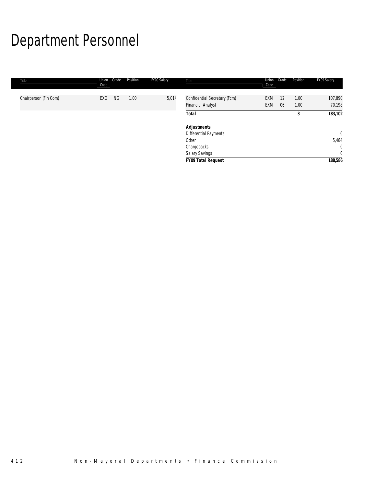# Department Personnel

| Title                 | Union<br>Code | Position<br>Grade | FY09 Salary | Title                                                    | Union<br>Code            | Grade    | Position     | FY09 Salary       |
|-----------------------|---------------|-------------------|-------------|----------------------------------------------------------|--------------------------|----------|--------------|-------------------|
| Chairperson (Fin Com) | EXO           | NG<br>1.00        | 5,014       | Confidential Secretary (Fcm)<br><b>Financial Analyst</b> | <b>EXM</b><br><b>EXM</b> | 12<br>06 | 1.00<br>1.00 | 107,890<br>70,198 |
|                       |               |                   |             | <b>Total</b>                                             |                          |          | 3            | 183,102           |
|                       |               |                   |             | <b>Adjustments</b>                                       |                          |          |              |                   |
|                       |               |                   |             | Differential Payments                                    |                          |          |              | $\mathbf 0$       |
|                       |               |                   |             | Other                                                    |                          |          |              | 5,484             |
|                       |               |                   |             | Chargebacks                                              |                          |          |              | $\mathbf{0}$      |
|                       |               |                   |             | Salary Savings                                           |                          |          |              | $\mathbf{0}$      |
|                       |               |                   |             | <b>FY09 Total Request</b>                                |                          |          |              | 188,586           |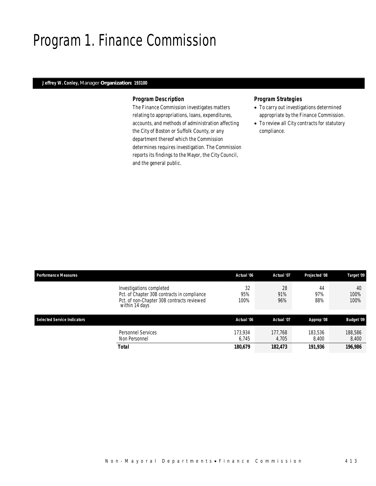## Program 1. Finance Commission

## *Jeffrey W. Conley, Manager Organization: 193100*

#### *Program Description*

The Finance Commission investigates matters relating to appropriations, loans, expenditures, accounts, and methods of administration affecting the City of Boston or Suffolk County, or any department thereof which the Commission determines requires investigation. The Commission reports its findings to the Mayor, the City Council, and the general public.

#### *Program Strategies*

- To carry out investigations determined appropriate by the Finance Commission.
- To review all City contracts for statutory compliance.

| <b>Performance Measures</b>                 | Actual '06                                                                                                     | Actual '07       | Projected '08    | Target '09         |
|---------------------------------------------|----------------------------------------------------------------------------------------------------------------|------------------|------------------|--------------------|
| Investigations completed<br>within 14 days' | 32<br>95%<br>Pct. of Chapter 30B contracts in compliance<br>Pct. of non-Chapter 30B contracts reviewed<br>100% | 28<br>91%<br>96% | 44<br>97%<br>88% | 40<br>100%<br>100% |
| Selected Service Indicators                 | Actual '06                                                                                                     | Actual '07       | Approp '08       | <b>Budget '09</b>  |
|                                             |                                                                                                                |                  |                  |                    |
| <b>Personnel Services</b><br>Non Personnel  | 173,934<br>6.745                                                                                               | 177.768<br>4,705 | 183,536<br>8.400 | 188,586<br>8,400   |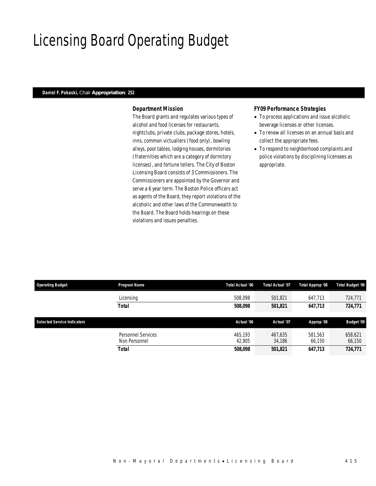## Licensing Board Operating Budget

## *Daniel F. Pokaski, Chair Appropriation: 252*

### *Department Mission*

The Board grants and regulates various types of alcohol and food licenses for restaurants, nightclubs, private clubs, package stores, hotels, inns, common victuallers (food only), bowling alleys, pool tables, lodging houses, dormitories (fraternities which are a category of dormitory licenses), and fortune tellers. The City of Boston Licensing Board consists of 3 Commissioners. The Commissioners are appointed by the Governor and serve a 6 year term. The Boston Police officers act as agents of the Board, they report violations of the alcoholic and other laws of the Commonwealth to the Board. The Board holds hearings on these violations and issues penalties.

#### *FY09 Performance Strategies*

- To process applications and issue alcoholic beverage licenses or other licenses.
- To renew all licenses on an annual basis and collect the appropriate fees.
- To respond to neighborhood complaints and police violations by disciplining licensees as appropriate.

| <b>Operating Budget</b>            | Program Name       | Total Actual '06 | Total Actual '07 | <b>Total Approp '08</b> | <b>Total Budget '09</b> |
|------------------------------------|--------------------|------------------|------------------|-------------------------|-------------------------|
|                                    | Licensing          | 508.098          | 501,821          | 647,713                 | 724,771                 |
|                                    | <b>Total</b>       | 508,098          | 501,821          | 647,713                 | 724,771                 |
|                                    |                    |                  |                  |                         |                         |
| <b>Selected Service Indicators</b> |                    | Actual '06       | Actual '07       | Approp '08              | <b>Budget '09</b>       |
|                                    | Personnel Services | 465.193          | 467,635          | 581.563                 | 658,621                 |
|                                    | Non Personnel      | 42,905           | 34,186           | 66,150                  | 66,150                  |
|                                    |                    |                  |                  |                         |                         |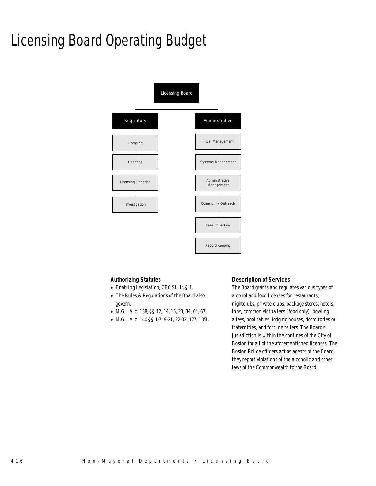# Licensing Board Operating Budget



#### *Authorizing Statutes*

- Enabling Legislation, CBC St. 14 § 1.
- The Rules & Regulations of the Board also govern.
- M.G.L.A. c. 138, §§ 12, 14, 15, 23, 34, 64, 67.
- M.G.L.A. c. 140 §§ 1-7, 9-21, 22-32, 177, 185I.

### *Description of Services*

The Board grants and regulates various types of alcohol and food licenses for restaurants, nightclubs, private clubs, package stores, hotels, inns, common victuallers (food only), bowling alleys, pool tables, lodging houses, dormitories or fraternities, and fortune tellers. The Board's jurisdiction is within the confines of the City of Boston for all of the aforementioned licenses. The Boston Police officers act as agents of the Board, they report violations of the alcoholic and other laws of the Commonwealth to the Board.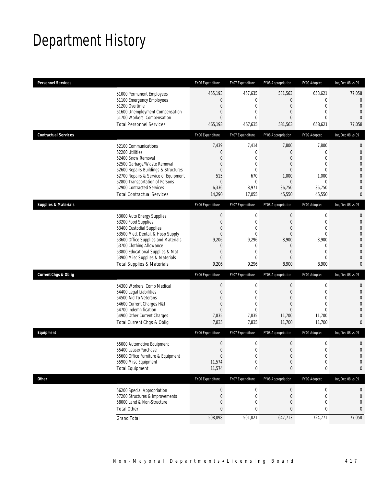## Department History

| <b>Personnel Services</b>       |                                                                                                                                                                                                                                                                                                      | FY06 Expenditure                                                                                                  | FY07 Expenditure                                                                                            | FY08 Appropriation                                                                                                          | FY09 Adopted                                                                                                       | Inc/Dec 08 vs 09                                                                                                                                    |
|---------------------------------|------------------------------------------------------------------------------------------------------------------------------------------------------------------------------------------------------------------------------------------------------------------------------------------------------|-------------------------------------------------------------------------------------------------------------------|-------------------------------------------------------------------------------------------------------------|-----------------------------------------------------------------------------------------------------------------------------|--------------------------------------------------------------------------------------------------------------------|-----------------------------------------------------------------------------------------------------------------------------------------------------|
|                                 | 51000 Permanent Employees<br>51100 Emergency Employees<br>51200 Overtime<br>51600 Unemployment Compensation<br>51700 Workers' Compensation<br><b>Total Personnel Services</b>                                                                                                                        | 465,193<br>0<br>$\mathbf 0$<br>$\overline{0}$<br>$\overline{0}$<br>465,193                                        | 467,635<br>$\mathbf 0$<br>$\boldsymbol{0}$<br>0<br>$\theta$<br>467,635                                      | 581,563<br>$\overline{0}$<br>$\boldsymbol{0}$<br>$\mathbf{0}$<br>$\mathbf{0}$<br>581,563                                    | 658,621<br>$\mathbf{0}$<br>$\mathbf 0$<br>$\mathbf{0}$<br>$\mathbf{0}$<br>658,621                                  | 77,058<br>$\mathbf 0$<br>$\overline{0}$<br>$\overline{0}$<br>$\overline{0}$<br>77,058                                                               |
| <b>Contractual Services</b>     |                                                                                                                                                                                                                                                                                                      | FY06 Expenditure                                                                                                  | FY07 Expenditure                                                                                            | FY08 Appropriation                                                                                                          | FY09 Adopted                                                                                                       | Inc/Dec 08 vs 09                                                                                                                                    |
| 52200 Utilities                 | 52100 Communications<br>52400 Snow Removal<br>52500 Garbage/Waste Removal<br>52600 Repairs Buildings & Structures<br>52700 Repairs & Service of Equipment<br>52800 Transportation of Persons<br>52900 Contracted Services<br><b>Total Contractual Services</b>                                       | 7,439<br>0<br>$\overline{0}$<br>$\mathbf 0$<br>$\overline{0}$<br>515<br>$\mathbf{0}$<br>6,336<br>14,290           | 7,414<br>$\boldsymbol{0}$<br>$\mathbf{0}$<br>$\mathbf{0}$<br>0<br>670<br>0<br>8,971<br>17,055               | 7,800<br>$\boldsymbol{0}$<br>$\mathbf{0}$<br>$\mathbf{0}$<br>$\mathbf{0}$<br>1,000<br>$\mathbf 0$<br>36,750<br>45,550       | 7,800<br>$\mathbf{0}$<br>$\mathbf{0}$<br>$\mathbf{0}$<br>$\mathbf{0}$<br>1,000<br>$\mathbf{0}$<br>36,750<br>45,550 | $\mathbf 0$<br>$\mathbf 0$<br>$\overline{0}$<br>$\overline{0}$<br>$\mathbf 0$<br>$\mathbf{0}$<br>$\mathbf{0}$<br>$\overline{0}$<br>0                |
| <b>Supplies &amp; Materials</b> |                                                                                                                                                                                                                                                                                                      | FY06 Expenditure                                                                                                  | FY07 Expenditure                                                                                            | FY08 Appropriation                                                                                                          | FY09 Adopted                                                                                                       | Inc/Dec 08 vs 09                                                                                                                                    |
|                                 | 53000 Auto Energy Supplies<br>53200 Food Supplies<br>53400 Custodial Supplies<br>53500 Med, Dental, & Hosp Supply<br>53600 Office Supplies and Materials<br>53700 Clothing Allowance<br>53800 Educational Supplies & Mat<br>53900 Misc Supplies & Materials<br><b>Total Supplies &amp; Materials</b> | $\boldsymbol{0}$<br>$\mathbf 0$<br>$\overline{0}$<br>$\overline{0}$<br>9,206<br>0<br>0<br>$\overline{0}$<br>9,206 | $\boldsymbol{0}$<br>$\boldsymbol{0}$<br>0<br>$\mathbf 0$<br>9,296<br>0<br>$\mathbf{0}$<br>$\theta$<br>9,296 | $\boldsymbol{0}$<br>$\mathbf{0}$<br>$\mathbf{0}$<br>$\boldsymbol{0}$<br>8,900<br>0<br>$\mathbf{0}$<br>$\mathbf{0}$<br>8,900 | $\mathbf 0$<br>$\mathbf{0}$<br>$\mathbf{0}$<br>$\mathbf{0}$<br>8,900<br>0<br>$\mathbf{0}$<br>$\mathbf{0}$<br>8,900 | $\mathbf{0}$<br>$\mathbf{0}$<br>$\overline{0}$<br>$\overline{0}$<br>$\mathbf 0$<br>$\overline{0}$<br>$\mathbf{0}$<br>$\overline{0}$<br>$\mathbf{0}$ |
| <b>Current Chgs &amp; Oblig</b> |                                                                                                                                                                                                                                                                                                      | FY06 Expenditure                                                                                                  | FY07 Expenditure                                                                                            | FY08 Appropriation                                                                                                          | FY09 Adopted                                                                                                       | Inc/Dec 08 vs 09                                                                                                                                    |
|                                 | 54300 Workers' Comp Medical<br>54400 Legal Liabilities<br>54500 Aid To Veterans<br>54600 Current Charges H&I<br>54700 Indemnification<br>54900 Other Current Charges<br>Total Current Chgs & Oblig                                                                                                   | $\boldsymbol{0}$<br>$\mathbf 0$<br>$\overline{0}$<br>$\mathbf 0$<br>$\overline{0}$<br>7,835<br>7,835              | $\boldsymbol{0}$<br>$\boldsymbol{0}$<br>0<br>$\mathbf 0$<br>$\mathbf{0}$<br>7,835<br>7,835                  | $\boldsymbol{0}$<br>$\mathbf{0}$<br>$\mathbf{0}$<br>$\mathbf{0}$<br>$\mathbf{0}$<br>11,700<br>11,700                        | $\mathbf 0$<br>$\mathbf 0$<br>$\mathbf{0}$<br>$\mathbf{0}$<br>$\theta$<br>11,700<br>11,700                         | $\mathbf{0}$<br>$\mathbf{0}$<br>$\overline{0}$<br>$\overline{0}$<br>$\overline{0}$<br>$\overline{0}$<br>$\overline{0}$                              |
| Equipment                       |                                                                                                                                                                                                                                                                                                      | FY06 Expenditure                                                                                                  | FY07 Expenditure                                                                                            | FY08 Appropriation                                                                                                          | FY09 Adopted                                                                                                       | Inc/Dec 08 vs 09                                                                                                                                    |
|                                 | 55000 Automotive Equipment<br>55400 Lease/Purchase<br>55600 Office Furniture & Equipment<br>55900 Misc Equipment<br><b>Total Equipment</b>                                                                                                                                                           | $\boldsymbol{0}$<br>$\overline{0}$<br>$\boldsymbol{0}$<br>11,574<br>11,574                                        | $\boldsymbol{0}$<br>$\Omega$<br>0<br>0<br>0                                                                 | $\mathbf 0$<br>$\overline{0}$<br>$\boldsymbol{0}$<br>$\boldsymbol{0}$<br>0                                                  | $\mathbf 0$<br>$\mathbf{0}$<br>$\mathbf 0$<br>$\mathbf 0$<br>0                                                     | $\mathbf 0$<br>$\overline{0}$<br>$\mathbf 0$<br>$\mathbf 0$<br>0                                                                                    |
| <b>Other</b>                    |                                                                                                                                                                                                                                                                                                      | FY06 Expenditure                                                                                                  | FY07 Expenditure                                                                                            | FY08 Appropriation                                                                                                          | FY09 Adopted                                                                                                       | Inc/Dec 08 vs 09                                                                                                                                    |
| <b>Total Other</b>              | 56200 Special Appropriation<br>57200 Structures & Improvements<br>58000 Land & Non-Structure                                                                                                                                                                                                         | $\boldsymbol{0}$<br>$\boldsymbol{0}$<br>$\mathbf 0$<br>0                                                          | $\boldsymbol{0}$<br>0<br>0<br>0                                                                             | $\boldsymbol{0}$<br>0<br>$\boldsymbol{0}$<br>0                                                                              | $\boldsymbol{0}$<br>0<br>$\mathbf 0$<br>0                                                                          | 0<br>$\mathbf 0$<br>$\mathbf 0$<br>0                                                                                                                |
| <b>Grand Total</b>              |                                                                                                                                                                                                                                                                                                      | 508,098                                                                                                           | 501,821                                                                                                     | 647,713                                                                                                                     | 724,771                                                                                                            | 77,058                                                                                                                                              |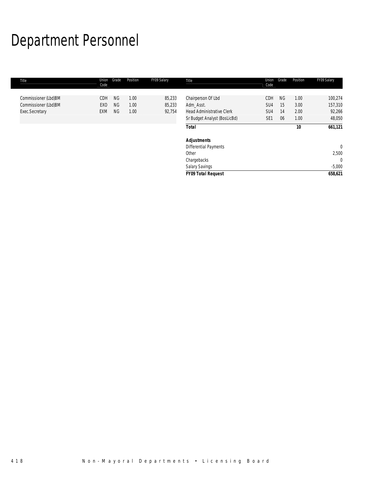# Department Personnel

| Title                | Union<br>Code   | Grade     | Position | FY09 Salary | Title                            | Union<br>Code   | Grade     | Position | FY09 Salary |
|----------------------|-----------------|-----------|----------|-------------|----------------------------------|-----------------|-----------|----------|-------------|
| Commissioner (Lbd)BM | <b>CDH</b>      | <b>NG</b> | 1.00     | 85,233      | Chairperson Of Lbd               | <b>CDH</b>      | <b>NG</b> | 1.00     | 100,274     |
| Commissioner (Lbd)BM | EX <sub>0</sub> | <b>NG</b> | 1.00     | 85,233      | Adm Asst.                        | SU <sub>4</sub> | 15        | 3.00     | 157,310     |
| Exec.Secretary       | EXM             | <b>NG</b> | 1.00     | 92,754      | <b>Head Administrative Clerk</b> | SU <sub>4</sub> | 14        | 2.00     | 92,266      |
|                      |                 |           |          |             | Sr Budget Analyst (BosLicBd)     | SE <sub>1</sub> | 06        | 1.00     | 48,050      |
|                      |                 |           |          |             | <b>Total</b>                     |                 |           | 10       | 661,121     |
|                      |                 |           |          |             | <b>Adjustments</b>               |                 |           |          |             |
|                      |                 |           |          |             | <b>Differential Payments</b>     |                 |           |          | $\Omega$    |
|                      |                 |           |          |             | Other                            |                 |           |          | 2,500       |
|                      |                 |           |          |             | Chargebacks                      |                 |           |          | $\theta$    |
|                      |                 |           |          |             | Salary Savings                   |                 |           |          | $-5,000$    |
|                      |                 |           |          |             | <b>FY09 Total Request</b>        |                 |           |          | 658,621     |